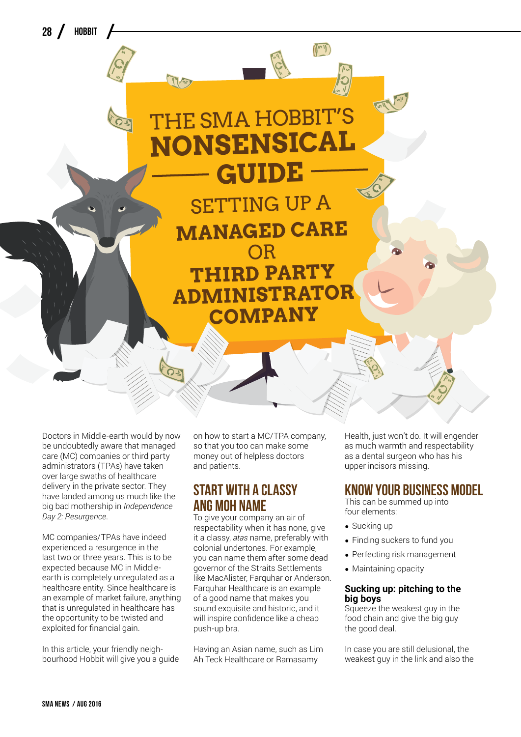28 / HOBBIT



**Nonsensical** 

 $\mathbb{I}^{\omega}$ 

**THE SMA HOBBIT** 

Doctors in Middle-earth would by now be undoubtedly aware that managed care (MC) companies or third party administrators (TPAs) have taken over large swaths of healthcare delivery in the private sector. They have landed among us much like the big bad mothership in *Independence Day 2: Resurgence*.

MC companies/TPAs have indeed experienced a resurgence in the last two or three years. This is to be expected because MC in Middleearth is completely unregulated as a healthcare entity. Since healthcare is an example of market failure, anything that is unregulated in healthcare has the opportunity to be twisted and exploited for financial gain.

In this article, your friendly neighbourhood Hobbit will give you a guide on how to start a MC/TPA company, so that you too can make some money out of helpless doctors and patients.

# **Start with a classy ang moh name**

To give your company an air of respectability when it has none, give it a classy, *atas* name, preferably with colonial undertones. For example, you can name them after some dead governor of the Straits Settlements like MacAlister, Farquhar or Anderson. Farquhar Healthcare is an example of a good name that makes you sound exquisite and historic, and it will inspire confidence like a cheap push-up bra.

Having an Asian name, such as Lim Ah Teck Healthcare or Ramasamy

Health, just won't do. It will engender as much warmth and respectability as a dental surgeon who has his upper incisors missing.

## **Know your business model**

This can be summed up into four elements:

- Sucking up
- Finding suckers to fund you
- Perfecting risk management
- Maintaining opacity

#### **Sucking up: pitching to the big boys**

Squeeze the weakest guy in the food chain and give the big guy the good deal.

In case you are still delusional, the weakest guy in the link and also the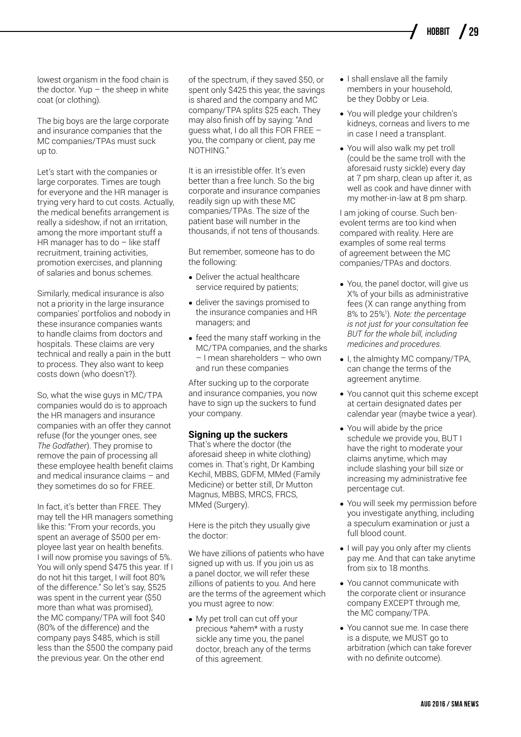lowest organism in the food chain is the doctor. Yup  $-$  the sheep in white coat (or clothing).

The big boys are the large corporate and insurance companies that the MC companies/TPAs must suck up to.

Let's start with the companies or large corporates. Times are tough for everyone and the HR manager is trying very hard to cut costs. Actually, the medical benefits arrangement is really a sideshow, if not an irritation, among the more important stuff a HR manager has to do  $-$  like staff recruitment, training activities, promotion exercises, and planning of salaries and bonus schemes.

Similarly, medical insurance is also not a priority in the large insurance companies' portfolios and nobody in these insurance companies wants to handle claims from doctors and hospitals. These claims are very technical and really a pain in the butt to process. They also want to keep costs down (who doesn't?).

So, what the wise guys in MC/TPA companies would do is to approach the HR managers and insurance companies with an offer they cannot refuse (for the younger ones, see *The Godfather*). They promise to remove the pain of processing all these employee health benefit claims and medical insurance claims – and they sometimes do so for FREE.

In fact, it's better than FREE. They may tell the HR managers something like this: "From your records, you spent an average of \$500 per employee last year on health benefits. I will now promise you savings of 5%. You will only spend \$475 this year. If I do not hit this target, I will foot 80% of the difference." So let's say, \$525 was spent in the current year (\$50 more than what was promised), the MC company/TPA will foot \$40 (80% of the difference) and the company pays \$485, which is still less than the \$500 the company paid the previous year. On the other end

of the spectrum, if they saved \$50, or spent only \$425 this year, the savings is shared and the company and MC company/TPA splits \$25 each. They may also finish off by saying: "And guess what, I do all this FOR FREE – you, the company or client, pay me NOTHING."

It is an irresistible offer. It's even better than a free lunch. So the big corporate and insurance companies readily sign up with these MC companies/TPAs. The size of the patient base will number in the thousands, if not tens of thousands.

But remember, someone has to do the following:

- Deliver the actual healthcare service required by patients;
- deliver the savings promised to the insurance companies and HR managers; and
- feed the many staff working in the MC/TPA companies, and the sharks – I mean shareholders – who own and run these companies

After sucking up to the corporate and insurance companies, you now have to sign up the suckers to fund your company.

### **Signing up the suckers**

That's where the doctor (the aforesaid sheep in white clothing) comes in. That's right, Dr Kambing Kechil, MBBS, GDFM, MMed (Family Medicine) or better still, Dr Mutton Magnus, MBBS, MRCS, FRCS, MMed (Surgery).

Here is the pitch they usually give the doctor:

We have zillions of patients who have signed up with us. If you join us as a panel doctor, we will refer these zillions of patients to you. And here are the terms of the agreement which you must agree to now:

• My pet troll can cut off your precious \*ahem\* with a rusty sickle any time you, the panel doctor, breach any of the terms of this agreement.

- I shall enslave all the family members in your household, be they Dobby or Leia.
- You will pledge your children's kidneys, corneas and livers to me in case I need a transplant.
- You will also walk my pet troll (could be the same troll with the aforesaid rusty sickle) every day at 7 pm sharp, clean up after it, as well as cook and have dinner with my mother-in-law at 8 pm sharp.

I am joking of course. Such benevolent terms are too kind when compared with reality. Here are examples of some real terms of agreement between the MC companies/TPAs and doctors.

- You, the panel doctor, will give us X% of your bills as administrative fees (X can range anything from 8% to 25%1 ). *Note: the percentage is not just for your consultation fee BUT for the whole bill, including medicines and procedures.*
- I, the almighty MC company/TPA, can change the terms of the agreement anytime.
- You cannot quit this scheme except at certain designated dates per calendar year (maybe twice a year).
- You will abide by the price schedule we provide you, BUT I have the right to moderate your claims anytime, which may include slashing your bill size or increasing my administrative fee percentage cut.
- You will seek my permission before you investigate anything, including a speculum examination or just a full blood count.
- I will pay you only after my clients pay me. And that can take anytime from six to 18 months.
- You cannot communicate with the corporate client or insurance company EXCEPT through me, the MC company/TPA.
- You cannot sue me. In case there is a dispute, we MUST go to arbitration (which can take forever with no definite outcome).